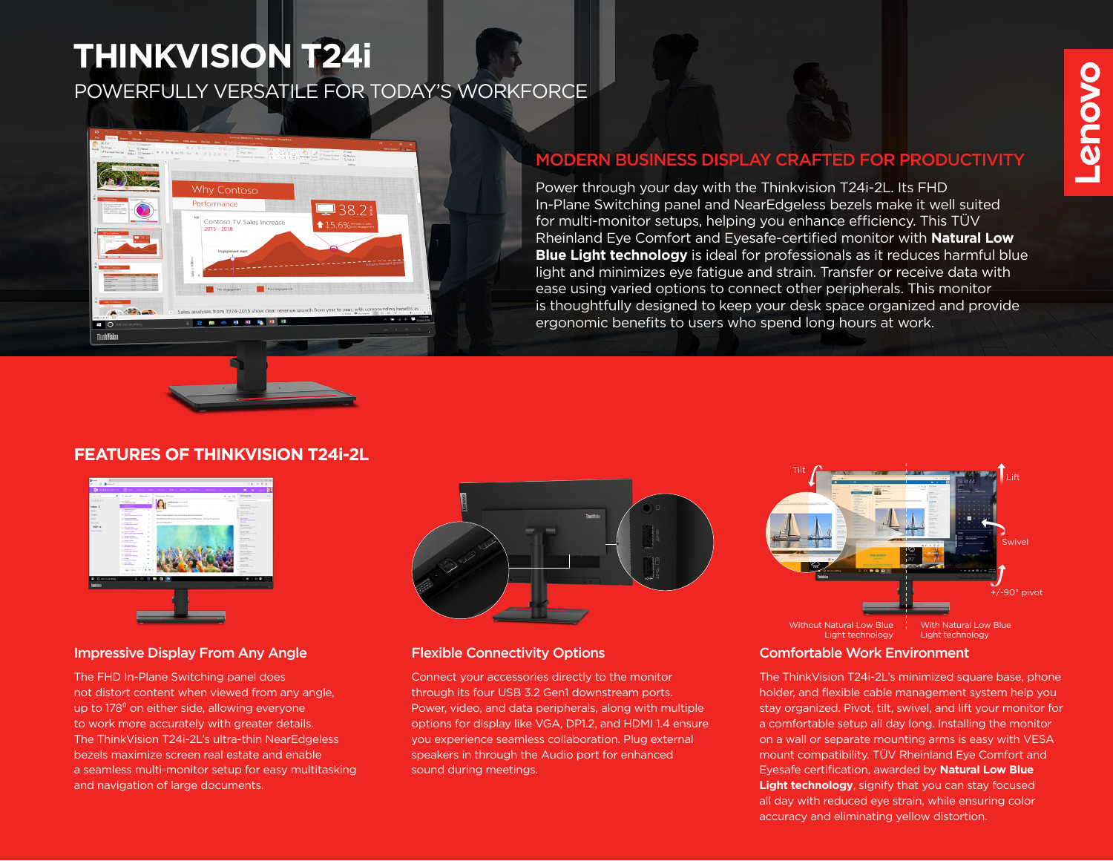# **THINKVISION T24i**

POWERFULLY VERSATILE FOR TODAY'S WORKFORCE



# MODERN BUSINESS DISPLAY CRAFTED FOR PRODUCTIVITY

Power through your day with the Thinkvision T24i-2L. Its FHD In-Plane Switching panel and NearEdgeless bezels make it well suited for multi-monitor setups, helping you enhance efficiency. This TÜV Rheinland Eye Comfort and Eyesafe-certified monitor with **Natural Low Blue Light technology** is ideal for professionals as it reduces harmful blue light and minimizes eye fatigue and strain. Transfer or receive data with ease using varied options to connect other peripherals. This monitor is thoughtfully designed to keep your desk space organized and provide ergonomic benefits to users who spend long hours at work.

# **FEATURES OF THINKVISION T24i-2L**



## Impressive Display From Any Angle Flexible Connectivity Options

The FHD In-Plane Switching panel does not distort content when viewed from any angle, up to 178<sup>°</sup> on either side, allowing everyone to work more accurately with greater details. The ThinkVision T24i-2L's ultra-thin NearEdgeless bezels maximize screen real estate and enable a seamless multi-monitor setup for easy multitasking and navigation of large documents.



Connect your accessories directly to the monitor through its four USB 3.2 Gen1 downstream ports. Power, video, and data peripherals, along with multiple options for display like VGA, DP1.2, and HDMI 1.4 ensure you experience seamless collaboration. Plug external speakers in through the Audio port for enhanced sound during meetings.



## Comfortable Work Environment

The ThinkVision T24i-2L's minimized square base, phone holder, and flexible cable management system help you stay organized. Pivot, tilt, swivel, and lift your monitor for a comfortable setup all day long. Installing the monitor on a wall or separate mounting arms is easy with VESA mount compatibility. TÜV Rheinland Eye Comfort and Eyesafe certification, awarded by **Natural Low Blue Light technology**, signify that you can stay focused all day with reduced eye strain, while ensuring color accuracy and eliminating yellow distortion.